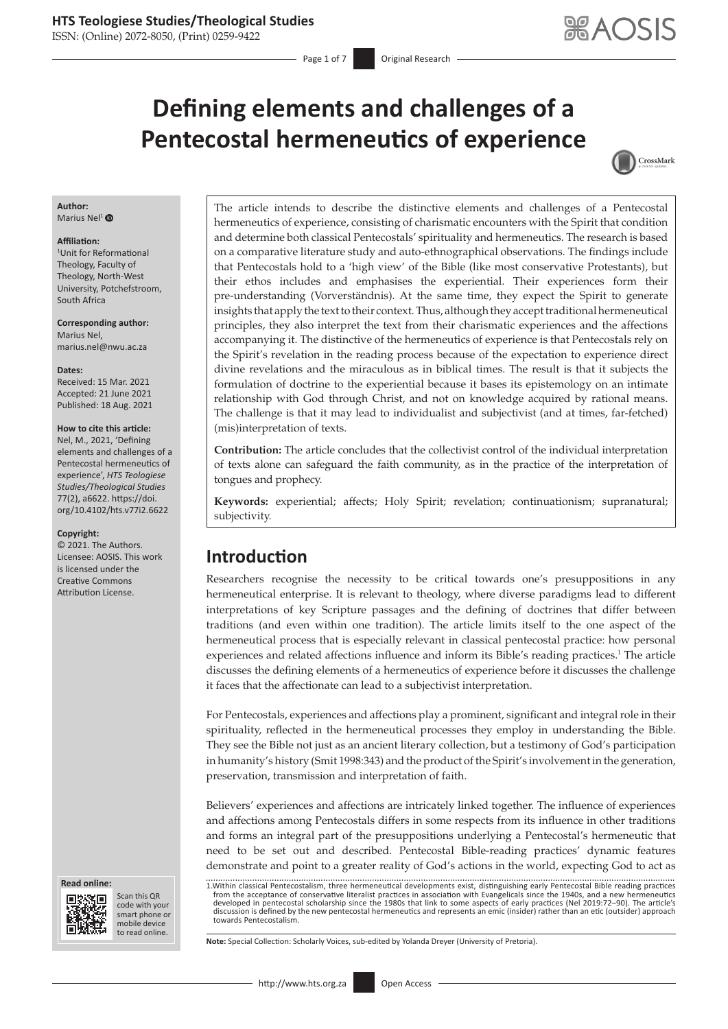ISSN: (Online) 2072-8050, (Print) 0259-9422

Page 1 of 7 **Original Research** 

# **Defining elements and challenges of a Pentecostal hermeneutics of experience**



#### **Author:** Marius Nel<sup>[1](http://orcid.org/0000-0003-0304-5805)</sup> ®

**Affiliation:**

#### 1 Unit for Reformational Theology, Faculty of Theology, North-West University, Potchefstroom, South Africa

**Corresponding author:** Marius Nel, [marius.nel@nwu.ac.za](mailto:marius.nel@nwu.ac.za)

#### **Dates:**

Received: 15 Mar. 2021 Accepted: 21 June 2021 Published: 18 Aug. 2021

## **How to cite this article:**

Nel, M., 2021, 'Defining elements and challenges of a Pentecostal hermeneutics of experience', *HTS Teologiese Studies/Theological Studies* 77(2), a6622. [https://doi.](https://doi.org/10.4102/hts.v77i2.6622) [org/10.4102/hts.v77i2.6622](https://doi.org/10.4102/hts.v77i2.6622)

#### **Copyright:**

© 2021. The Authors. Licensee: AOSIS. This work is licensed under the Creative Commons Attribution License.





Scan this QR code with your Scan this QR<br>code with your<br>smart phone or<br>mobile device mobile device

to read online. to read online.

The article intends to describe the distinctive elements and challenges of a Pentecostal hermeneutics of experience, consisting of charismatic encounters with the Spirit that condition and determine both classical Pentecostals' spirituality and hermeneutics. The research is based on a comparative literature study and auto-ethnographical observations. The findings include that Pentecostals hold to a 'high view' of the Bible (like most conservative Protestants), but their ethos includes and emphasises the experiential. Their experiences form their pre-understanding (Vorverständnis). At the same time, they expect the Spirit to generate insights that apply the text to their context. Thus, although they accept traditional hermeneutical principles, they also interpret the text from their charismatic experiences and the affections accompanying it. The distinctive of the hermeneutics of experience is that Pentecostals rely on the Spirit's revelation in the reading process because of the expectation to experience direct divine revelations and the miraculous as in biblical times. The result is that it subjects the formulation of doctrine to the experiential because it bases its epistemology on an intimate relationship with God through Christ, and not on knowledge acquired by rational means. The challenge is that it may lead to individualist and subjectivist (and at times, far-fetched) (mis)interpretation of texts.

**Contribution:** The article concludes that the collectivist control of the individual interpretation of texts alone can safeguard the faith community, as in the practice of the interpretation of tongues and prophecy.

**Keywords:** experiential; affects; Holy Spirit; revelation; continuationism; supranatural; subjectivity.

# **Introduction**

Researchers recognise the necessity to be critical towards one's presuppositions in any hermeneutical enterprise. It is relevant to theology, where diverse paradigms lead to different interpretations of key Scripture passages and the defining of doctrines that differ between traditions (and even within one tradition). The article limits itself to the one aspect of the hermeneutical process that is especially relevant in classical pentecostal practice: how personal experiences and related affections influence and inform its Bible's reading practices.<sup>1</sup> The article discusses the defining elements of a hermeneutics of experience before it discusses the challenge it faces that the affectionate can lead to a subjectivist interpretation.

For Pentecostals, experiences and affections play a prominent, significant and integral role in their spirituality, reflected in the hermeneutical processes they employ in understanding the Bible. They see the Bible not just as an ancient literary collection, but a testimony of God's participation in humanity's history (Smit 1998:343) and the product of the Spirit's involvement in the generation, preservation, transmission and interpretation of faith.

Believers' experiences and affections are intricately linked together. The influence of experiences and affections among Pentecostals differs in some respects from its influence in other traditions and forms an integral part of the presuppositions underlying a Pentecostal's hermeneutic that need to be set out and described. Pentecostal Bible-reading practices' dynamic features demonstrate and point to a greater reality of God's actions in the world, expecting God to act as

1.Within classical Pentecostalism, three hermeneutical developments exist, distinguishing early Pentecostal Bible reading practices<br>from the acceptance of conservative literalist practices in association with Evangelicals developed in pentecostal scholarship since the 1980s that link to some aspects of early practices (Nel 2019:72–90). The article's<br>discussion is defined by the new pentecostal hermeneutics and represents an emic (insider) r towards Pentecostalism.

**Note:** Special Collection: Scholarly Voices, sub-edited by Yolanda Dreyer (University of Pretoria).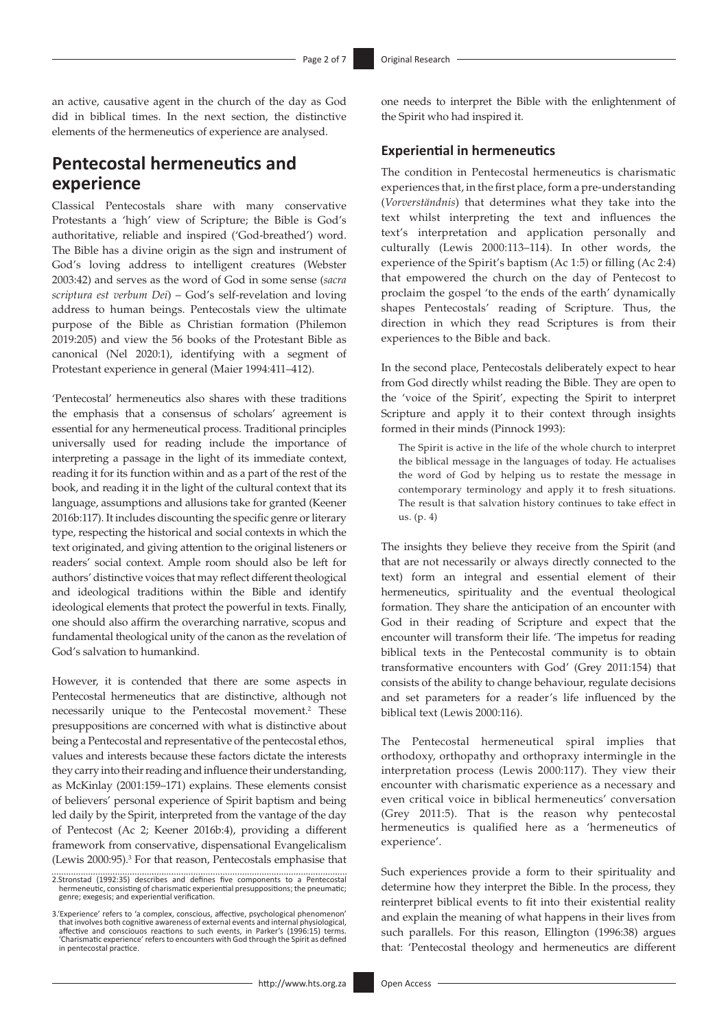an active, causative agent in the church of the day as God did in biblical times. In the next section, the distinctive elements of the hermeneutics of experience are analysed.

# **Pentecostal hermeneutics and experience**

Classical Pentecostals share with many conservative Protestants a 'high' view of Scripture; the Bible is God's authoritative, reliable and inspired ('God-breathed') word. The Bible has a divine origin as the sign and instrument of God's loving address to intelligent creatures (Webster 2003:42) and serves as the word of God in some sense (*sacra scriptura est verbum Dei*) – God's self-revelation and loving address to human beings. Pentecostals view the ultimate purpose of the Bible as Christian formation (Philemon 2019:205) and view the 56 books of the Protestant Bible as canonical (Nel 2020:1), identifying with a segment of Protestant experience in general (Maier 1994:411–412).

'Pentecostal' hermeneutics also shares with these traditions the emphasis that a consensus of scholars' agreement is essential for any hermeneutical process. Traditional principles universally used for reading include the importance of interpreting a passage in the light of its immediate context, reading it for its function within and as a part of the rest of the book, and reading it in the light of the cultural context that its language, assumptions and allusions take for granted (Keener 2016b:117). It includes discounting the specific genre or literary type, respecting the historical and social contexts in which the text originated, and giving attention to the original listeners or readers' social context. Ample room should also be left for authors' distinctive voices that may reflect different theological and ideological traditions within the Bible and identify ideological elements that protect the powerful in texts. Finally, one should also affirm the overarching narrative, scopus and fundamental theological unity of the canon as the revelation of God's salvation to humankind.

However, it is contended that there are some aspects in Pentecostal hermeneutics that are distinctive, although not necessarily unique to the Pentecostal movement.<sup>2</sup> These presuppositions are concerned with what is distinctive about being a Pentecostal and representative of the pentecostal ethos, values and interests because these factors dictate the interests they carry into their reading and influence their understanding, as McKinlay (2001:159–171) explains. These elements consist of believers' personal experience of Spirit baptism and being led daily by the Spirit, interpreted from the vantage of the day of Pentecost (Ac 2; Keener 2016b:4), providing a different framework from conservative, dispensational Evangelicalism (Lewis 2000:95).3 For that reason, Pentecostals emphasise that

3.'Experience' refers to 'a complex, conscious, affective, psychological phenomenon' that involves both cognitive awareness of external events and internal physiological, affective and consciouos reactions to such events, in Parker's (1996:15) terms. 'Charismatic experience' refers to encounters with God through the Spirit as defined in pentecostal practice.

one needs to interpret the Bible with the enlightenment of the Spirit who had inspired it.

#### **Experiential in hermeneutics**

The condition in Pentecostal hermeneutics is charismatic experiences that, in the first place, form a pre-understanding (*Vorverständnis*) that determines what they take into the text whilst interpreting the text and influences the text's interpretation and application personally and culturally (Lewis 2000:113–114). In other words, the experience of the Spirit's baptism (Ac 1:5) or filling (Ac 2:4) that empowered the church on the day of Pentecost to proclaim the gospel 'to the ends of the earth' dynamically shapes Pentecostals' reading of Scripture. Thus, the direction in which they read Scriptures is from their experiences to the Bible and back.

In the second place, Pentecostals deliberately expect to hear from God directly whilst reading the Bible. They are open to the 'voice of the Spirit', expecting the Spirit to interpret Scripture and apply it to their context through insights formed in their minds (Pinnock 1993):

The Spirit is active in the life of the whole church to interpret the biblical message in the languages of today. He actualises the word of God by helping us to restate the message in contemporary terminology and apply it to fresh situations. The result is that salvation history continues to take effect in us. (p. 4)

The insights they believe they receive from the Spirit (and that are not necessarily or always directly connected to the text) form an integral and essential element of their hermeneutics, spirituality and the eventual theological formation. They share the anticipation of an encounter with God in their reading of Scripture and expect that the encounter will transform their life. 'The impetus for reading biblical texts in the Pentecostal community is to obtain transformative encounters with God' (Grey 2011:154) that consists of the ability to change behaviour, regulate decisions and set parameters for a reader's life influenced by the biblical text (Lewis 2000:116).

The Pentecostal hermeneutical spiral implies that orthodoxy, orthopathy and orthopraxy intermingle in the interpretation process (Lewis 2000:117). They view their encounter with charismatic experience as a necessary and even critical voice in biblical hermeneutics' conversation (Grey 2011:5). That is the reason why pentecostal hermeneutics is qualified here as a 'hermeneutics of experience'.

Such experiences provide a form to their spirituality and determine how they interpret the Bible. In the process, they reinterpret biblical events to fit into their existential reality and explain the meaning of what happens in their lives from such parallels. For this reason, Ellington (1996:38) argues that: 'Pentecostal theology and hermeneutics are different

<sup>2.</sup>Stronstad (1992:35) describes and defines five components to a Pentecostal hermeneutic, consisting of charismatic experiential presuppositions; the pneumatic; genre; exegesis; and experiential verification.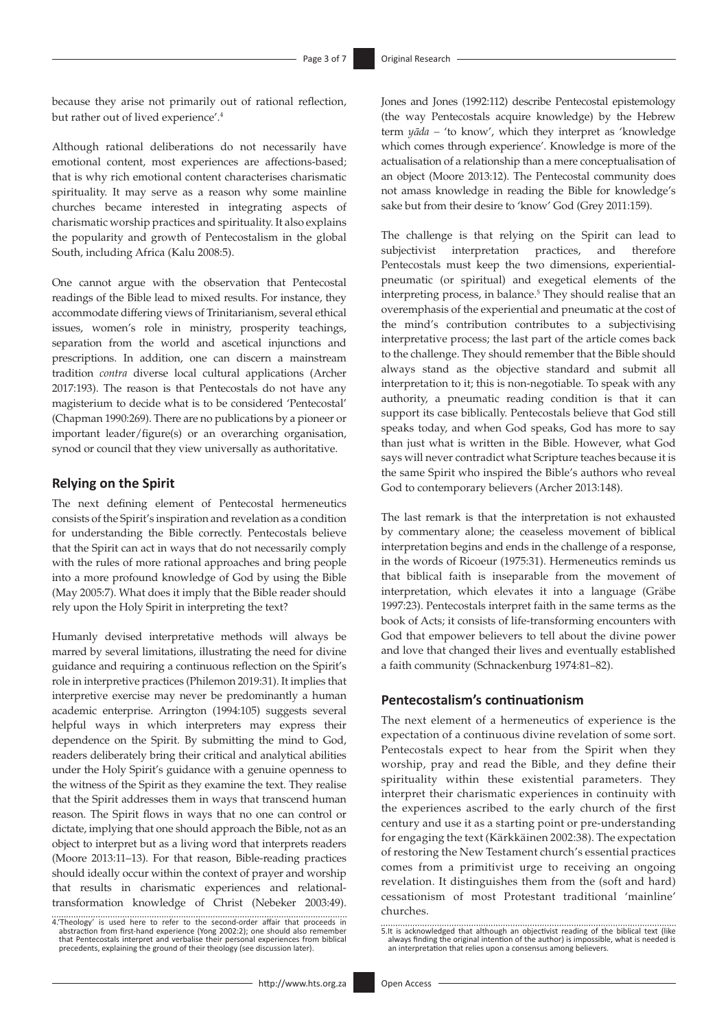because they arise not primarily out of rational reflection, but rather out of lived experience'.<sup>4</sup>

Although rational deliberations do not necessarily have emotional content, most experiences are affections-based; that is why rich emotional content characterises charismatic spirituality. It may serve as a reason why some mainline churches became interested in integrating aspects of charismatic worship practices and spirituality. It also explains the popularity and growth of Pentecostalism in the global South, including Africa (Kalu 2008:5).

One cannot argue with the observation that Pentecostal readings of the Bible lead to mixed results. For instance, they accommodate differing views of Trinitarianism, several ethical issues, women's role in ministry, prosperity teachings, separation from the world and ascetical injunctions and prescriptions. In addition, one can discern a mainstream tradition *contra* diverse local cultural applications (Archer 2017:193). The reason is that Pentecostals do not have any magisterium to decide what is to be considered 'Pentecostal' (Chapman 1990:269). There are no publications by a pioneer or important leader/figure(s) or an overarching organisation, synod or council that they view universally as authoritative.

#### **Relying on the Spirit**

The next defining element of Pentecostal hermeneutics consists of the Spirit's inspiration and revelation as a condition for understanding the Bible correctly. Pentecostals believe that the Spirit can act in ways that do not necessarily comply with the rules of more rational approaches and bring people into a more profound knowledge of God by using the Bible (May 2005:7). What does it imply that the Bible reader should rely upon the Holy Spirit in interpreting the text?

Humanly devised interpretative methods will always be marred by several limitations, illustrating the need for divine guidance and requiring a continuous reflection on the Spirit's role in interpretive practices (Philemon 2019:31). It implies that interpretive exercise may never be predominantly a human academic enterprise. Arrington (1994:105) suggests several helpful ways in which interpreters may express their dependence on the Spirit. By submitting the mind to God, readers deliberately bring their critical and analytical abilities under the Holy Spirit's guidance with a genuine openness to the witness of the Spirit as they examine the text. They realise that the Spirit addresses them in ways that transcend human reason. The Spirit flows in ways that no one can control or dictate, implying that one should approach the Bible, not as an object to interpret but as a living word that interprets readers (Moore 2013:11–13). For that reason, Bible-reading practices should ideally occur within the context of prayer and worship that results in charismatic experiences and relationaltransformation knowledge of Christ (Nebeker 2003:49). Jones and Jones (1992:112) describe Pentecostal epistemology (the way Pentecostals acquire knowledge) by the Hebrew term *yāda –* 'to know', which they interpret as 'knowledge which comes through experience'. Knowledge is more of the actualisation of a relationship than a mere conceptualisation of an object (Moore 2013:12). The Pentecostal community does not amass knowledge in reading the Bible for knowledge's sake but from their desire to 'know' God (Grey 2011:159).

The challenge is that relying on the Spirit can lead to subjectivist interpretation practices, and therefore Pentecostals must keep the two dimensions, experientialpneumatic (or spiritual) and exegetical elements of the interpreting process, in balance.<sup>5</sup> They should realise that an overemphasis of the experiential and pneumatic at the cost of the mind's contribution contributes to a subjectivising interpretative process; the last part of the article comes back to the challenge. They should remember that the Bible should always stand as the objective standard and submit all interpretation to it; this is non-negotiable. To speak with any authority, a pneumatic reading condition is that it can support its case biblically. Pentecostals believe that God still speaks today, and when God speaks, God has more to say than just what is written in the Bible. However, what God says will never contradict what Scripture teaches because it is the same Spirit who inspired the Bible's authors who reveal God to contemporary believers (Archer 2013:148).

The last remark is that the interpretation is not exhausted by commentary alone; the ceaseless movement of biblical interpretation begins and ends in the challenge of a response, in the words of Ricoeur (1975:31). Hermeneutics reminds us that biblical faith is inseparable from the movement of interpretation, which elevates it into a language (Gräbe 1997:23). Pentecostals interpret faith in the same terms as the book of Acts; it consists of life-transforming encounters with God that empower believers to tell about the divine power and love that changed their lives and eventually established a faith community (Schnackenburg 1974:81–82).

## **Pentecostalism's continuationism**

The next element of a hermeneutics of experience is the expectation of a continuous divine revelation of some sort. Pentecostals expect to hear from the Spirit when they worship, pray and read the Bible, and they define their spirituality within these existential parameters. They interpret their charismatic experiences in continuity with the experiences ascribed to the early church of the first century and use it as a starting point or pre-understanding for engaging the text (Kärkkäinen 2002:38). The expectation of restoring the New Testament church's essential practices comes from a primitivist urge to receiving an ongoing revelation. It distinguishes them from the (soft and hard) cessationism of most Protestant traditional 'mainline' churches.

<sup>4.&#</sup>x27;Theology' is used here to refer to the second-order affair that proceeds in abstraction from first-hand experience (Yong 2002:2); one should also remember<br>that Pentecostals interpret and verbalise their personal experie precedents, explaining the ground of their theology (see discussion later).

<http://www.hts.org.za> Open Access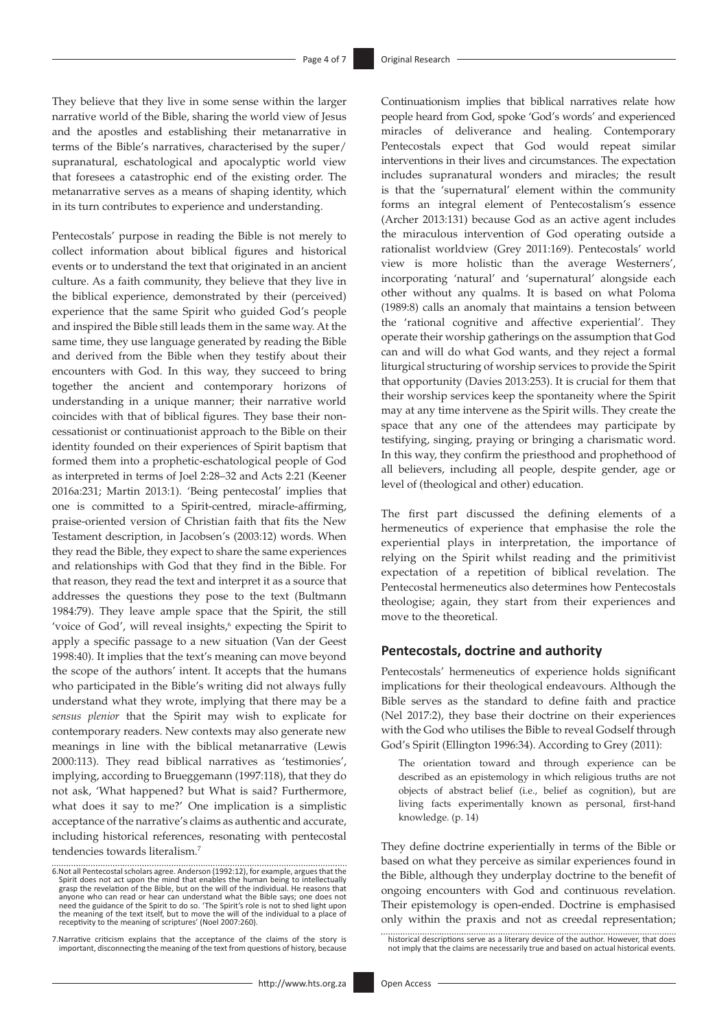They believe that they live in some sense within the larger narrative world of the Bible, sharing the world view of Jesus and the apostles and establishing their metanarrative in terms of the Bible's narratives, characterised by the super/ supranatural, eschatological and apocalyptic world view that foresees a catastrophic end of the existing order. The metanarrative serves as a means of shaping identity, which in its turn contributes to experience and understanding.

Pentecostals' purpose in reading the Bible is not merely to collect information about biblical figures and historical events or to understand the text that originated in an ancient culture. As a faith community, they believe that they live in the biblical experience, demonstrated by their (perceived) experience that the same Spirit who guided God's people and inspired the Bible still leads them in the same way. At the same time, they use language generated by reading the Bible and derived from the Bible when they testify about their encounters with God. In this way, they succeed to bring together the ancient and contemporary horizons of understanding in a unique manner; their narrative world coincides with that of biblical figures. They base their noncessationist or continuationist approach to the Bible on their identity founded on their experiences of Spirit baptism that formed them into a prophetic-eschatological people of God as interpreted in terms of Joel 2:28–32 and Acts 2:21 (Keener 2016a:231; Martin 2013:1). 'Being pentecostal' implies that one is committed to a Spirit-centred, miracle-affirming, praise-oriented version of Christian faith that fits the New Testament description, in Jacobsen's (2003:12) words. When they read the Bible, they expect to share the same experiences and relationships with God that they find in the Bible. For that reason, they read the text and interpret it as a source that addresses the questions they pose to the text (Bultmann 1984:79). They leave ample space that the Spirit, the still 'voice of God', will reveal insights,<sup>6</sup> expecting the Spirit to apply a specific passage to a new situation (Van der Geest 1998:40). It implies that the text's meaning can move beyond the scope of the authors' intent. It accepts that the humans who participated in the Bible's writing did not always fully understand what they wrote, implying that there may be a *sensus plenior* that the Spirit may wish to explicate for contemporary readers. New contexts may also generate new meanings in line with the biblical metanarrative (Lewis 2000:113). They read biblical narratives as 'testimonies', implying, according to Brueggemann (1997:118), that they do not ask, 'What happened? but What is said? Furthermore, what does it say to me?' One implication is a simplistic acceptance of the narrative's claims as authentic and accurate, including historical references, resonating with pentecostal tendencies towards literalism.7

Continuationism implies that biblical narratives relate how people heard from God, spoke 'God's words' and experienced miracles of deliverance and healing. Contemporary Pentecostals expect that God would repeat similar interventions in their lives and circumstances. The expectation includes supranatural wonders and miracles; the result is that the 'supernatural' element within the community forms an integral element of Pentecostalism's essence (Archer 2013:131) because God as an active agent includes the miraculous intervention of God operating outside a rationalist worldview (Grey 2011:169). Pentecostals' world view is more holistic than the average Westerners', incorporating 'natural' and 'supernatural' alongside each other without any qualms. It is based on what Poloma (1989:8) calls an anomaly that maintains a tension between the 'rational cognitive and affective experiential'. They operate their worship gatherings on the assumption that God can and will do what God wants, and they reject a formal liturgical structuring of worship services to provide the Spirit that opportunity (Davies 2013:253). It is crucial for them that their worship services keep the spontaneity where the Spirit may at any time intervene as the Spirit wills. They create the space that any one of the attendees may participate by testifying, singing, praying or bringing a charismatic word. In this way, they confirm the priesthood and prophethood of all believers, including all people, despite gender, age or level of (theological and other) education.

The first part discussed the defining elements of a hermeneutics of experience that emphasise the role the experiential plays in interpretation, the importance of relying on the Spirit whilst reading and the primitivist expectation of a repetition of biblical revelation. The Pentecostal hermeneutics also determines how Pentecostals theologise; again, they start from their experiences and move to the theoretical.

### **Pentecostals, doctrine and authority**

Pentecostals' hermeneutics of experience holds significant implications for their theological endeavours. Although the Bible serves as the standard to define faith and practice (Nel 2017:2), they base their doctrine on their experiences with the God who utilises the Bible to reveal Godself through God's Spirit (Ellington 1996:34). According to Grey (2011):

The orientation toward and through experience can be described as an epistemology in which religious truths are not objects of abstract belief (i.e., belief as cognition), but are living facts experimentally known as personal, first-hand knowledge. (p. 14)

They define doctrine experientially in terms of the Bible or based on what they perceive as similar experiences found in the Bible, although they underplay doctrine to the benefit of ongoing encounters with God and continuous revelation. Their epistemology is open-ended. Doctrine is emphasised only within the praxis and not as creedal representation;

<sup>6.</sup>Not all Pentecostal scholars agree. Anderson (1992:12), for example, argues that the Spirit does not act upon the mind that enables the human being to intellectually grasp the revelation of the Bible, but on the will of the individual. He reasons that<br>anyone who can read or hear can understand what the Bible says; one does not<br>need the guidance of the Spirit to do so. 'The Spirit's rol the meaning of the text itself, but to move the will of the individual to a place of receptivity to the meaning of scriptures' (Noel 2007:260).

<sup>7.</sup>Narrative criticism explains that the acceptance of the claims of the story is important, disconnecting the meaning of the text from questions of history, because

historical descriptions serve as a literary device of the author. However, that does not imply that the claims are necessarily true and based on actual historical events.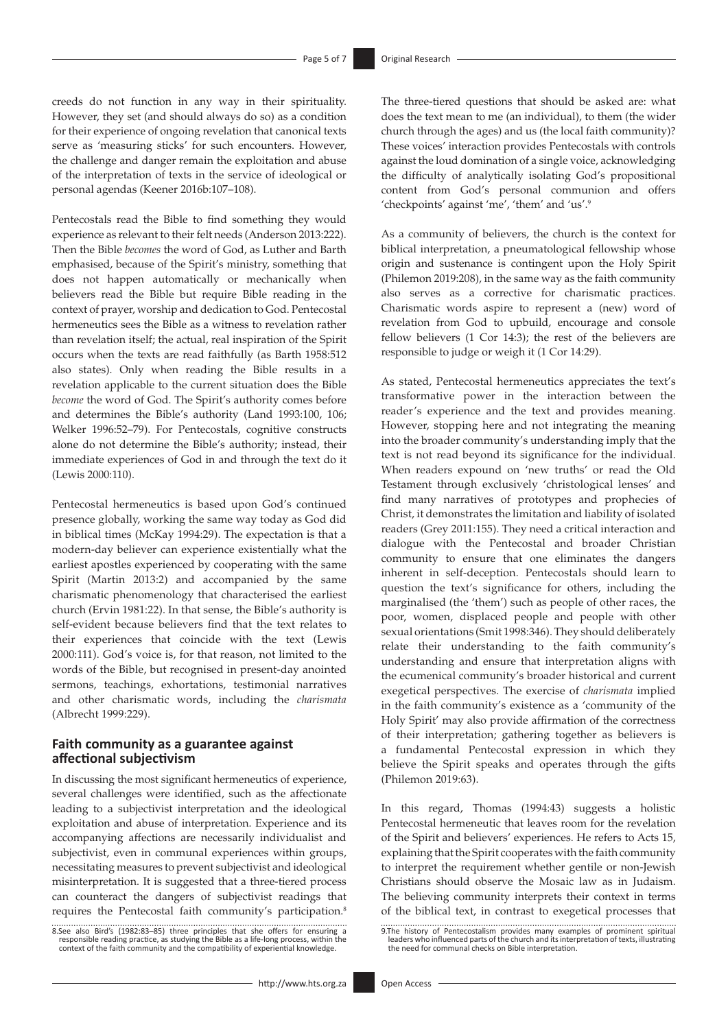creeds do not function in any way in their spirituality. However, they set (and should always do so) as a condition for their experience of ongoing revelation that canonical texts serve as 'measuring sticks' for such encounters. However, the challenge and danger remain the exploitation and abuse of the interpretation of texts in the service of ideological or personal agendas (Keener 2016b:107–108).

Pentecostals read the Bible to find something they would experience as relevant to their felt needs (Anderson 2013:222). Then the Bible *becomes* the word of God, as Luther and Barth emphasised, because of the Spirit's ministry, something that does not happen automatically or mechanically when believers read the Bible but require Bible reading in the context of prayer, worship and dedication to God. Pentecostal hermeneutics sees the Bible as a witness to revelation rather than revelation itself; the actual, real inspiration of the Spirit occurs when the texts are read faithfully (as Barth 1958:512 also states). Only when reading the Bible results in a revelation applicable to the current situation does the Bible *become* the word of God. The Spirit's authority comes before and determines the Bible's authority (Land 1993:100, 106; Welker 1996:52–79). For Pentecostals, cognitive constructs alone do not determine the Bible's authority; instead, their immediate experiences of God in and through the text do it (Lewis 2000:110).

Pentecostal hermeneutics is based upon God's continued presence globally, working the same way today as God did in biblical times (McKay 1994:29). The expectation is that a modern-day believer can experience existentially what the earliest apostles experienced by cooperating with the same Spirit (Martin 2013:2) and accompanied by the same charismatic phenomenology that characterised the earliest church (Ervin 1981:22). In that sense, the Bible's authority is self-evident because believers find that the text relates to their experiences that coincide with the text (Lewis 2000:111). God's voice is, for that reason, not limited to the words of the Bible, but recognised in present-day anointed sermons, teachings, exhortations, testimonial narratives and other charismatic words, including the *charismata*  (Albrecht 1999:229).

## **Faith community as a guarantee against affectional subjectivism**

In discussing the most significant hermeneutics of experience, several challenges were identified, such as the affectionate leading to a subjectivist interpretation and the ideological exploitation and abuse of interpretation. Experience and its accompanying affections are necessarily individualist and subjectivist, even in communal experiences within groups, necessitating measures to prevent subjectivist and ideological misinterpretation. It is suggested that a three-tiered process can counteract the dangers of subjectivist readings that requires the Pentecostal faith community's participation.8

8.See also Bird's (1982:83–85) three principles that she offers for ensuring a responsible reading practice, as studying the Bible as a life-long process, within the context of the faith community and the compatibility of experiential knowledge. The three-tiered questions that should be asked are: what does the text mean to me (an individual), to them (the wider church through the ages) and us (the local faith community)? These voices' interaction provides Pentecostals with controls against the loud domination of a single voice, acknowledging the difficulty of analytically isolating God's propositional content from God's personal communion and offers 'checkpoints' against 'me', 'them' and 'us'.9

As a community of believers, the church is the context for biblical interpretation, a pneumatological fellowship whose origin and sustenance is contingent upon the Holy Spirit (Philemon 2019:208), in the same way as the faith community also serves as a corrective for charismatic practices. Charismatic words aspire to represent a (new) word of revelation from God to upbuild, encourage and console fellow believers (1 Cor 14:3); the rest of the believers are responsible to judge or weigh it (1 Cor 14:29).

As stated, Pentecostal hermeneutics appreciates the text's transformative power in the interaction between the reader's experience and the text and provides meaning. However, stopping here and not integrating the meaning into the broader community's understanding imply that the text is not read beyond its significance for the individual. When readers expound on 'new truths' or read the Old Testament through exclusively 'christological lenses' and find many narratives of prototypes and prophecies of Christ, it demonstrates the limitation and liability of isolated readers (Grey 2011:155). They need a critical interaction and dialogue with the Pentecostal and broader Christian community to ensure that one eliminates the dangers inherent in self-deception. Pentecostals should learn to question the text's significance for others, including the marginalised (the 'them') such as people of other races, the poor, women, displaced people and people with other sexual orientations (Smit 1998:346). They should deliberately relate their understanding to the faith community's understanding and ensure that interpretation aligns with the ecumenical community's broader historical and current exegetical perspectives. The exercise of *charismata* implied in the faith community's existence as a 'community of the Holy Spirit' may also provide affirmation of the correctness of their interpretation; gathering together as believers is a fundamental Pentecostal expression in which they believe the Spirit speaks and operates through the gifts (Philemon 2019:63).

In this regard, Thomas (1994:43) suggests a holistic Pentecostal hermeneutic that leaves room for the revelation of the Spirit and believers' experiences. He refers to Acts 15, explaining that the Spirit cooperates with the faith community to interpret the requirement whether gentile or non-Jewish Christians should observe the Mosaic law as in Judaism. The believing community interprets their context in terms of the biblical text, in contrast to exegetical processes that

<sup>9.</sup>The history of Pentecostalism provides many examples of prominent spiritual leaders who influenced parts of the church and its interpretation of texts, illustrating the need for communal checks on Bible interpretation.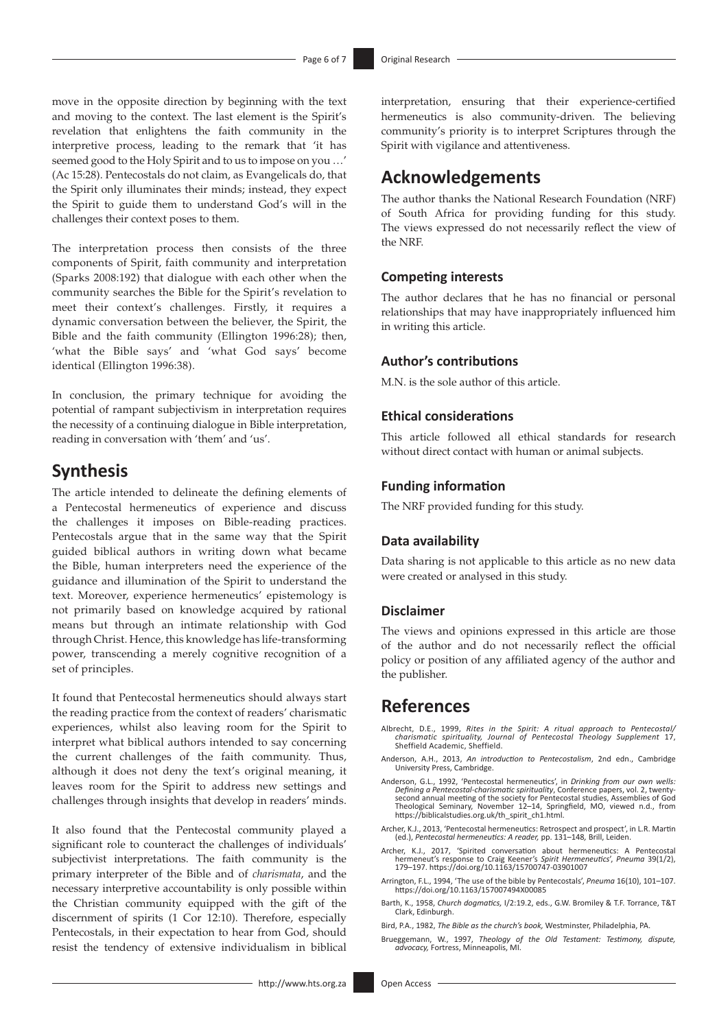move in the opposite direction by beginning with the text and moving to the context. The last element is the Spirit's revelation that enlightens the faith community in the interpretive process, leading to the remark that 'it has seemed good to the Holy Spirit and to us to impose on you …' (Ac 15:28). Pentecostals do not claim, as Evangelicals do, that the Spirit only illuminates their minds; instead, they expect the Spirit to guide them to understand God's will in the challenges their context poses to them.

The interpretation process then consists of the three components of Spirit, faith community and interpretation (Sparks 2008:192) that dialogue with each other when the community searches the Bible for the Spirit's revelation to meet their context's challenges. Firstly, it requires a dynamic conversation between the believer, the Spirit, the Bible and the faith community (Ellington 1996:28); then, 'what the Bible says' and 'what God says' become identical (Ellington 1996:38).

In conclusion, the primary technique for avoiding the potential of rampant subjectivism in interpretation requires the necessity of a continuing dialogue in Bible interpretation, reading in conversation with 'them' and 'us'.

# **Synthesis**

The article intended to delineate the defining elements of a Pentecostal hermeneutics of experience and discuss the challenges it imposes on Bible-reading practices. Pentecostals argue that in the same way that the Spirit guided biblical authors in writing down what became the Bible, human interpreters need the experience of the guidance and illumination of the Spirit to understand the text. Moreover, experience hermeneutics' epistemology is not primarily based on knowledge acquired by rational means but through an intimate relationship with God through Christ. Hence, this knowledge has life-transforming power, transcending a merely cognitive recognition of a set of principles.

It found that Pentecostal hermeneutics should always start the reading practice from the context of readers' charismatic experiences, whilst also leaving room for the Spirit to interpret what biblical authors intended to say concerning the current challenges of the faith community. Thus, although it does not deny the text's original meaning, it leaves room for the Spirit to address new settings and challenges through insights that develop in readers' minds.

It also found that the Pentecostal community played a significant role to counteract the challenges of individuals' subjectivist interpretations. The faith community is the primary interpreter of the Bible and of *charismata*, and the necessary interpretive accountability is only possible within the Christian community equipped with the gift of the discernment of spirits (1 Cor 12:10). Therefore, especially Pentecostals, in their expectation to hear from God, should resist the tendency of extensive individualism in biblical interpretation, ensuring that their experience-certified hermeneutics is also community-driven. The believing community's priority is to interpret Scriptures through the Spirit with vigilance and attentiveness.

# **Acknowledgements**

The author thanks the National Research Foundation (NRF) of South Africa for providing funding for this study. The views expressed do not necessarily reflect the view of the NRF.

#### **Competing interests**

The author declares that he has no financial or personal relationships that may have inappropriately influenced him in writing this article.

#### **Author's contributions**

M.N. is the sole author of this article.

## **Ethical considerations**

This article followed all ethical standards for research without direct contact with human or animal subjects.

#### **Funding information**

The NRF provided funding for this study.

#### **Data availability**

Data sharing is not applicable to this article as no new data were created or analysed in this study.

#### **Disclaimer**

The views and opinions expressed in this article are those of the author and do not necessarily reflect the official policy or position of any affiliated agency of the author and the publisher.

## **References**

- Albrecht, D.E., 1999, *Rites in the Spirit: A ritual approach to Pentecostal/ charismatic spirituality, Journal of Pentecostal Theology Supplement* 17, Sheffield Academic, Sheffield.
- Anderson, A.H., 2013, *An introduction to Pentecostalism*, 2nd edn., Cambridge University Press, Cambridge.
- Anderson, G.L., 1992, 'Pentecostal hermeneutics', in *Drinking from our own wells: Defining a Pentecostal-charismatic spirituality,* Conference papers, vol. 2, twenty-<br>second annual meeting of the society for Pentecostal studies, Assemblies of God<br>Theological Seminary, November 12–14, Springfield, MO, v [https://biblicalstudies.org.uk/th\\_spirit\\_ch1.html](https://biblicalstudies.org.uk/th_spirit_ch1.html).
- Archer, K.J., 2013, 'Pentecostal hermeneutics: Retrospect and prospect', in L.R. Martin (ed.), *Pentecostal hermeneutics: A reader,* pp. 131–148*,* Brill, Leiden.
- Archer, K.J., 2017, 'Spirited conversation about hermeneutics: A Pentecostal hermeneut's response to Craig Keener's *Spirit Hermeneutics*', *Pneuma* 39(1/2), 179–197.<https://doi.org/10.1163/15700747-03901007>
- Arrington, F.L., 1994, 'The use of the bible by Pentecostals', *Pneuma* 16(10), 101–107. <https://doi.org/10.1163/157007494X00085>
- Barth, K., 1958, *Church dogmatics,* I/2:19.2, eds., G.W. Bromiley & T.F. Torrance, T&T Clark, Edinburgh.
- Bird, P.A., 1982, *The Bible as the church's book,* Westminster, Philadelphia, PA.
- Brueggemann, W., 1997, *Theology of the Old Testament: Testimony, dispute, advocacy,* Fortress, Minneapolis, MI.